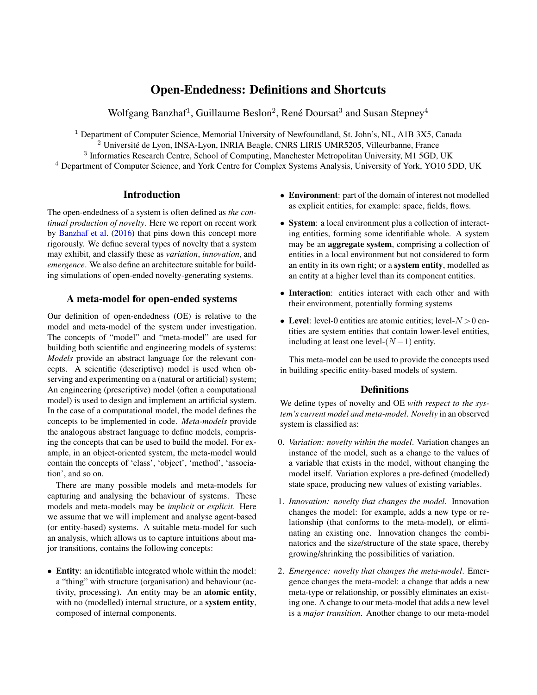# Open-Endedness: Definitions and Shortcuts

Wolfgang Banzhaf<sup>1</sup>, Guillaume Beslon<sup>2</sup>, René Doursat<sup>3</sup> and Susan Stepney<sup>4</sup>

<sup>1</sup> Department of Computer Science, Memorial University of Newfoundland, St. John's, NL, A1B 3X5, Canada <sup>2</sup> Université de Lyon, INSA-Lyon, INRIA Beagle, CNRS LIRIS UMR5205, Villeurbanne, France <sup>3</sup> Informatics Research Centre, School of Computing, Manchester Metropolitan University, M1 5GD, UK <sup>4</sup> Department of Computer Science, and York Centre for Complex Systems Analysis, University of York, YO10 5DD, UK

### **Introduction**

The open-endedness of a system is often defined as *the continual production of novelty*. Here we report on recent work by [Banzhaf et al.](#page-1-0) [\(2016\)](#page-1-0) that pins down this concept more rigorously. We define several types of novelty that a system may exhibit, and classify these as *variation*, *innovation*, and *emergence*. We also define an architecture suitable for building simulations of open-ended novelty-generating systems.

## A meta-model for open-ended systems

Our definition of open-endedness (OE) is relative to the model and meta-model of the system under investigation. The concepts of "model" and "meta-model" are used for building both scientific and engineering models of systems: *Models* provide an abstract language for the relevant concepts. A scientific (descriptive) model is used when observing and experimenting on a (natural or artificial) system; An engineering (prescriptive) model (often a computational model) is used to design and implement an artificial system. In the case of a computational model, the model defines the concepts to be implemented in code. *Meta-models* provide the analogous abstract language to define models, comprising the concepts that can be used to build the model. For example, in an object-oriented system, the meta-model would contain the concepts of 'class', 'object', 'method', 'association', and so on.

There are many possible models and meta-models for capturing and analysing the behaviour of systems. These models and meta-models may be *implicit* or *explicit*. Here we assume that we will implement and analyse agent-based (or entity-based) systems. A suitable meta-model for such an analysis, which allows us to capture intuitions about major transitions, contains the following concepts:

• Entity: an identifiable integrated whole within the model: a "thing" with structure (organisation) and behaviour (activity, processing). An entity may be an atomic entity, with no (modelled) internal structure, or a system entity, composed of internal components.

- Environment: part of the domain of interest not modelled as explicit entities, for example: space, fields, flows.
- System: a local environment plus a collection of interacting entities, forming some identifiable whole. A system may be an aggregate system, comprising a collection of entities in a local environment but not considered to form an entity in its own right; or a system entity, modelled as an entity at a higher level than its component entities.
- Interaction: entities interact with each other and with their environment, potentially forming systems
- Level: level-0 entities are atomic entities; level- $N > 0$  entities are system entities that contain lower-level entities, including at least one level- $(N-1)$  entity.

This meta-model can be used to provide the concepts used in building specific entity-based models of system.

## **Definitions**

We define types of novelty and OE *with respect to the system's current model and meta-model*. *Novelty* in an observed system is classified as:

- 0. *Variation: novelty within the model*. Variation changes an instance of the model, such as a change to the values of a variable that exists in the model, without changing the model itself. Variation explores a pre-defined (modelled) state space, producing new values of existing variables.
- 1. *Innovation: novelty that changes the model*. Innovation changes the model: for example, adds a new type or relationship (that conforms to the meta-model), or eliminating an existing one. Innovation changes the combinatorics and the size/structure of the state space, thereby growing/shrinking the possibilities of variation.
- 2. *Emergence: novelty that changes the meta-model*. Emergence changes the meta-model: a change that adds a new meta-type or relationship, or possibly eliminates an existing one. A change to our meta-model that adds a new level is a *major transition*. Another change to our meta-model